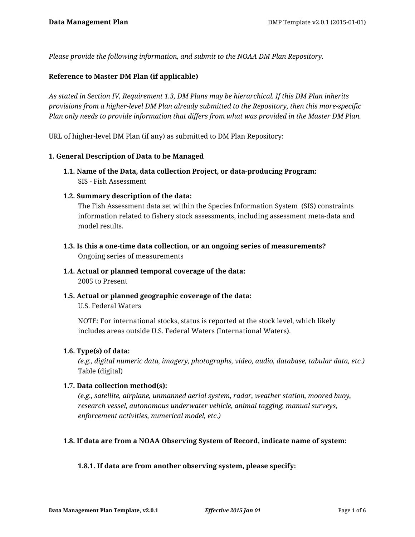*Please provide the following information, and submit to the NOAA DM Plan Repository.*

## **Reference to Master DM Plan (if applicable)**

*As stated in Section IV, Requirement 1.3, DM Plans may be hierarchical. If this DM Plan inherits provisions from a higher-level DM Plan already submitted to the Repository, then this more-specific Plan only needs to provide information that differs from what was provided in the Master DM Plan.*

URL of higher-level DM Plan (if any) as submitted to DM Plan Repository:

### **1. General Description of Data to be Managed**

- **1.1. Name of the Data, data collection Project, or data-producing Program:** SIS - Fish Assessment
- **1.2. Summary description of the data:**

The Fish Assessment data set within the Species Information System (SIS) constraints information related to fishery stock assessments, including assessment meta-data and model results.

- **1.3. Is this a one-time data collection, or an ongoing series of measurements?** Ongoing series of measurements
- **1.4. Actual or planned temporal coverage of the data:** 2005 to Present
- **1.5. Actual or planned geographic coverage of the data:** U.S. Federal Waters

NOTE: For international stocks, status is reported at the stock level, which likely includes areas outside U.S. Federal Waters (International Waters).

### **1.6. Type(s) of data:**

*(e.g., digital numeric data, imagery, photographs, video, audio, database, tabular data, etc.)* Table (digital)

### **1.7. Data collection method(s):**

*(e.g., satellite, airplane, unmanned aerial system, radar, weather station, moored buoy, research vessel, autonomous underwater vehicle, animal tagging, manual surveys, enforcement activities, numerical model, etc.)*

### **1.8. If data are from a NOAA Observing System of Record, indicate name of system:**

### **1.8.1. If data are from another observing system, please specify:**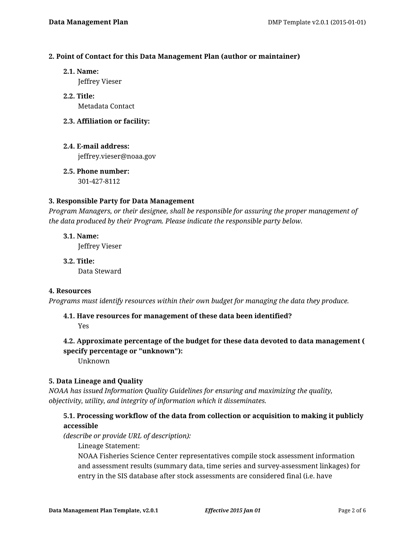## **2. Point of Contact for this Data Management Plan (author or maintainer)**

**2.1. Name:**

Jeffrey Vieser

- **2.2. Title:** Metadata Contact
- **2.3. Affiliation or facility:**
- **2.4. E-mail address:** jeffrey.vieser@noaa.gov
- **2.5. Phone number:** 301-427-8112

## **3. Responsible Party for Data Management**

*Program Managers, or their designee, shall be responsible for assuring the proper management of the data produced by their Program. Please indicate the responsible party below.*

**3.1. Name:** Jeffrey Vieser

**3.2. Title:** Data Steward

## **4. Resources**

*Programs must identify resources within their own budget for managing the data they produce.*

## **4.1. Have resources for management of these data been identified?**

Yes

# **4.2. Approximate percentage of the budget for these data devoted to data management ( specify percentage or "unknown"):**

Unknown

## **5. Data Lineage and Quality**

*NOAA has issued Information Quality Guidelines for ensuring and maximizing the quality, objectivity, utility, and integrity of information which it disseminates.*

# **5.1. Processing workflow of the data from collection or acquisition to making it publicly accessible**

*(describe or provide URL of description):*

Lineage Statement:

NOAA Fisheries Science Center representatives compile stock assessment information and assessment results (summary data, time series and survey-assessment linkages) for entry in the SIS database after stock assessments are considered final (i.e. have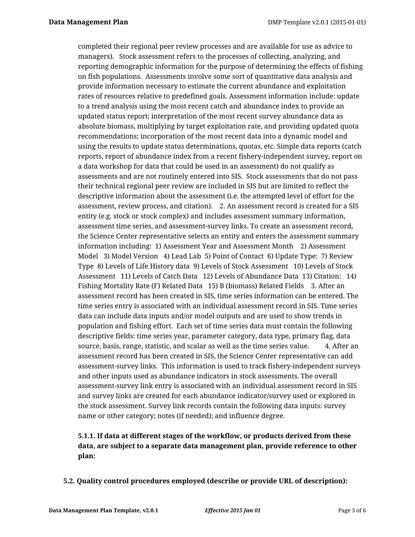completed their regional peer review processes and are available for use as advice to managers). Stock assessment refers to the processes of collecting, analyzing, and reporting demographic information for the purpose of determining the effects of fishing on fish populations. Assessments involve some sort of quantitative data analysis and provide information necessary to estimate the current abundance and exploitation rates of resources relative to predefined goals. Assessment information include: update to a trend analysis using the most recent catch and abundance index to provide an updated status report; interpretation of the most recent survey abundance data as absolute biomass, multiplying by target exploitation rate, and providing updated quota recommendations; incorporation of the most recent data into a dynamic model and using the results to update status determinations, quotas, etc. Simple data reports (catch reports, report of abundance index from a recent fishery-independent survey, report on a data workshop for data that could be used in an assessment) do not qualify as assessments and are not routinely entered into SIS. Stock assessments that do not pass their technical regional peer review are included in SIS but are limited to reflect the descriptive information about the assessment (i.e. the attempted level of effort for the assessment, review process, and citation). 2. An assessment record is created for a SIS entity (e.g. stock or stock complex) and includes assessment summary information, assessment time series, and assessment-survey links. To create an assessment record, the Science Center representative selects an entity and enters the assessment summary information including: 1) Assessment Year and Assessment Month 2) Assessment Model 3) Model Version 4) Lead Lab 5) Point of Contact 6) Update Type: 7) Review Type 8) Levels of Life History data 9) Levels of Stock Assessment 10) Levels of Stock Assessment 11) Levels of Catch Data 12) Levels of Abundance Data 13) Citation: 14) Fishing Mortality Rate (F) Related Data 15) B (biomass) Related Fields 3. After an assessment record has been created in SIS, time series information can be entered. The time series entry is associated with an individual assessment record in SIS. Time series data can include data inputs and/or model outputs and are used to show trends in population and fishing effort. Each set of time series data must contain the following descriptive fields: time series year, parameter category, data type, primary flag, data source, basis, range, statistic, and scalar as well as the time series value. 4. After an assessment record has been created in SIS, the Science Center representative can add assessment-survey links. This information is used to track fishery-independent surveys and other inputs used as abundance indicators in stock assessments. The overall assessment-survey link entry is associated with an individual assessment record in SIS and survey links are created for each abundance indicator/survey used or explored in the stock assessment. Survey link records contain the following data inputs: survey name or other category; notes (if needed); and influence degree.

# **5.1.1. If data at different stages of the workflow, or products derived from these data, are subject to a separate data management plan, provide reference to other plan:**

**5.2. Quality control procedures employed (describe or provide URL of description):**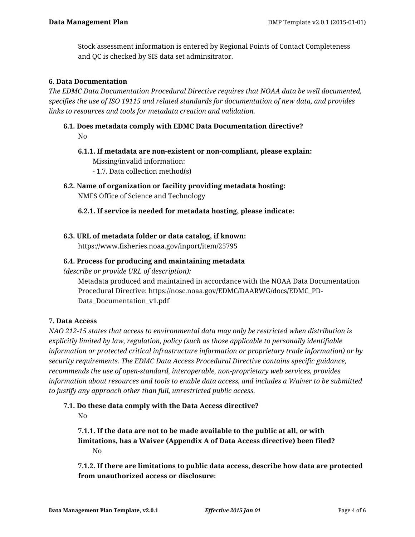Stock assessment information is entered by Regional Points of Contact Completeness and QC is checked by SIS data set adminsitrator.

## **6. Data Documentation**

*The EDMC Data Documentation Procedural Directive requires that NOAA data be well documented, specifies the use of ISO 19115 and related standards for documentation of new data, and provides links to resources and tools for metadata creation and validation.*

# **6.1. Does metadata comply with EDMC Data Documentation directive?** No

**6.1.1. If metadata are non-existent or non-compliant, please explain:** Missing/invalid information:

- 1.7. Data collection method(s)
- **6.2. Name of organization or facility providing metadata hosting:** NMFS Office of Science and Technology
	- **6.2.1. If service is needed for metadata hosting, please indicate:**

## **6.3. URL of metadata folder or data catalog, if known:**

https://www.fisheries.noaa.gov/inport/item/25795

## **6.4. Process for producing and maintaining metadata**

*(describe or provide URL of description):*

Metadata produced and maintained in accordance with the NOAA Data Documentation Procedural Directive: https://nosc.noaa.gov/EDMC/DAARWG/docs/EDMC\_PD-Data\_Documentation\_v1.pdf

## **7. Data Access**

*NAO 212-15 states that access to environmental data may only be restricted when distribution is explicitly limited by law, regulation, policy (such as those applicable to personally identifiable information or protected critical infrastructure information or proprietary trade information) or by security requirements. The EDMC Data Access Procedural Directive contains specific guidance, recommends the use of open-standard, interoperable, non-proprietary web services, provides information about resources and tools to enable data access, and includes a Waiver to be submitted to justify any approach other than full, unrestricted public access.*

### **7.1. Do these data comply with the Data Access directive?**

No

**7.1.1. If the data are not to be made available to the public at all, or with limitations, has a Waiver (Appendix A of Data Access directive) been filed?** No

**7.1.2. If there are limitations to public data access, describe how data are protected from unauthorized access or disclosure:**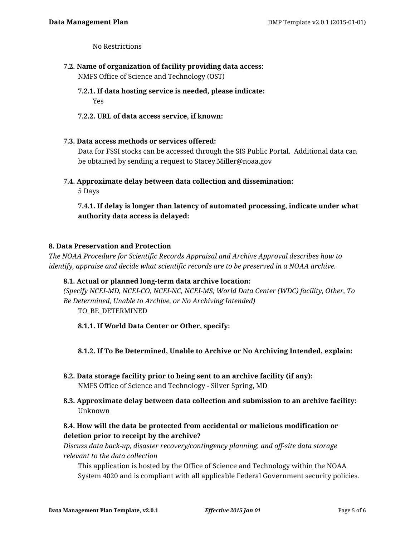No Restrictions

**7.2. Name of organization of facility providing data access:**

NMFS Office of Science and Technology (OST)

- **7.2.1. If data hosting service is needed, please indicate:** Yes
- **7.2.2. URL of data access service, if known:**
- **7.3. Data access methods or services offered:**

Data for FSSI stocks can be accessed through the SIS Public Portal. Additional data can be obtained by sending a request to Stacey.Miller@noaa.gov

**7.4. Approximate delay between data collection and dissemination:**

5 Days

**7.4.1. If delay is longer than latency of automated processing, indicate under what authority data access is delayed:**

## **8. Data Preservation and Protection**

*The NOAA Procedure for Scientific Records Appraisal and Archive Approval describes how to identify, appraise and decide what scientific records are to be preserved in a NOAA archive.*

## **8.1. Actual or planned long-term data archive location:**

*(Specify NCEI-MD, NCEI-CO, NCEI-NC, NCEI-MS, World Data Center (WDC) facility, Other, To Be Determined, Unable to Archive, or No Archiving Intended)* TO\_BE\_DETERMINED

**8.1.1. If World Data Center or Other, specify:**

**8.1.2. If To Be Determined, Unable to Archive or No Archiving Intended, explain:**

- **8.2. Data storage facility prior to being sent to an archive facility (if any):** NMFS Office of Science and Technology - Silver Spring, MD
- **8.3. Approximate delay between data collection and submission to an archive facility:** Unknown

# **8.4. How will the data be protected from accidental or malicious modification or deletion prior to receipt by the archive?**

*Discuss data back-up, disaster recovery/contingency planning, and off-site data storage relevant to the data collection*

This application is hosted by the Office of Science and Technology within the NOAA System 4020 and is compliant with all applicable Federal Government security policies.